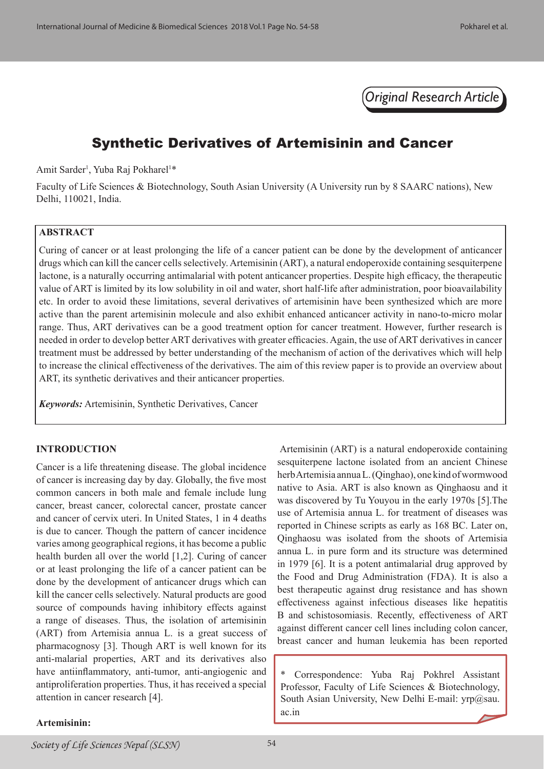*Original Research Article*

# Synthetic Derivatives of Artemisinin and Cancer

Amit Sarder<sup>1</sup>, Yuba Raj Pokharel<sup>1\*</sup>

Faculty of Life Sciences & Biotechnology, South Asian University (A University run by 8 SAARC nations), New Delhi, 110021, India.

# **ABSTRACT**

Curing of cancer or at least prolonging the life of a cancer patient can be done by the development of anticancer drugs which can kill the cancer cells selectively. Artemisinin (ART), a natural endoperoxide containing sesquiterpene lactone, is a naturally occurring antimalarial with potent anticancer properties. Despite high efficacy, the therapeutic value of ART is limited by its low solubility in oil and water, short half-life after administration, poor bioavailability etc. In order to avoid these limitations, several derivatives of artemisinin have been synthesized which are more active than the parent artemisinin molecule and also exhibit enhanced anticancer activity in nano-to-micro molar range. Thus, ART derivatives can be a good treatment option for cancer treatment. However, further research is needed in order to develop better ART derivatives with greater efficacies. Again, the use of ART derivatives in cancer treatment must be addressed by better understanding of the mechanism of action of the derivatives which will help to increase the clinical effectiveness of the derivatives. The aim of this review paper is to provide an overview about ART, its synthetic derivatives and their anticancer properties.

*Keywords:* Artemisinin, Synthetic Derivatives, Cancer

#### **INTRODUCTION**

Cancer is a life threatening disease. The global incidence of cancer is increasing day by day. Globally, the five most common cancers in both male and female include lung cancer, breast cancer, colorectal cancer, prostate cancer and cancer of cervix uteri. In United States, 1 in 4 deaths is due to cancer. Though the pattern of cancer incidence varies among geographical regions, it has become a public health burden all over the world [1,2]. Curing of cancer or at least prolonging the life of a cancer patient can be done by the development of anticancer drugs which can kill the cancer cells selectively. Natural products are good source of compounds having inhibitory effects against a range of diseases. Thus, the isolation of artemisinin (ART) from Artemisia annua L. is a great success of pharmacognosy [3]. Though ART is well known for its anti-malarial properties, ART and its derivatives also have antiinflammatory, anti-tumor, anti-angiogenic and antiproliferation properties. Thus, it has received a special attention in cancer research [4].

 Artemisinin (ART) is a natural endoperoxide containing sesquiterpene lactone isolated from an ancient Chinese herb Artemisia annua L. (Qinghao), one kind of wormwood native to Asia. ART is also known as Qinghaosu and it was discovered by Tu Youyou in the early 1970s [5].The use of Artemisia annua L. for treatment of diseases was reported in Chinese scripts as early as 168 BC. Later on, Qinghaosu was isolated from the shoots of Artemisia annua L. in pure form and its structure was determined in 1979 [6]. It is a potent antimalarial drug approved by the Food and Drug Administration (FDA). It is also a best therapeutic against drug resistance and has shown effectiveness against infectious diseases like hepatitis B and schistosomiasis. Recently, effectiveness of ART against different cancer cell lines including colon cancer, breast cancer and human leukemia has been reported

Correspondence: Yuba Raj Pokhrel Assistant Professor, Faculty of Life Sciences & Biotechnology, South Asian University, New Delhi E-mail: yrp@sau. ac.in

#### **Artemisinin:**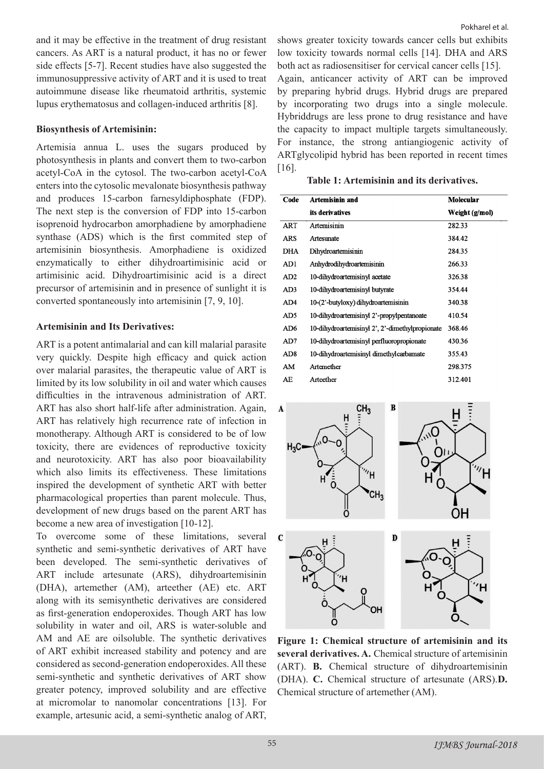and it may be effective in the treatment of drug resistant cancers. As ART is a natural product, it has no or fewer side effects [5-7]. Recent studies have also suggested the immunosuppressive activity of ART and it is used to treat autoimmune disease like rheumatoid arthritis, systemic lupus erythematosus and collagen-induced arthritis [8].

## **Biosynthesis of Artemisinin:**

Artemisia annua L. uses the sugars produced by photosynthesis in plants and convert them to two-carbon acetyl-CoA in the cytosol. The two-carbon acetyl-CoA enters into the cytosolic mevalonate biosynthesis pathway and produces 15-carbon farnesyldiphosphate (FDP). The next step is the conversion of FDP into 15-carbon isoprenoid hydrocarbon amorphadiene by amorphadiene synthase (ADS) which is the first commited step of artemisinin biosynthesis. Amorphadiene is oxidized enzymatically to either dihydroartimisinic acid or artimisinic acid. Dihydroartimisinic acid is a direct precursor of artemisinin and in presence of sunlight it is converted spontaneously into artemisinin [7, 9, 10].

## **Artemisinin and Its Derivatives:**

ART is a potent antimalarial and can kill malarial parasite very quickly. Despite high efficacy and quick action over malarial parasites, the therapeutic value of ART is limited by its low solubility in oil and water which causes difficulties in the intravenous administration of ART. ART has also short half-life after administration. Again, ART has relatively high recurrence rate of infection in monotherapy. Although ART is considered to be of low toxicity, there are evidences of reproductive toxicity and neurotoxicity. ART has also poor bioavailability which also limits its effectiveness. These limitations inspired the development of synthetic ART with better pharmacological properties than parent molecule. Thus, development of new drugs based on the parent ART has become a new area of investigation [10-12].

To overcome some of these limitations, several synthetic and semi-synthetic derivatives of ART have been developed. The semi-synthetic derivatives of ART include artesunate (ARS), dihydroartemisinin (DHA), artemether (AM), arteether (AE) etc. ART along with its semisynthetic derivatives are considered as first-generation endoperoxides. Though ART has low solubility in water and oil, ARS is water-soluble and AM and AE are oilsoluble. The synthetic derivatives of ART exhibit increased stability and potency and are considered as second-generation endoperoxides. All these semi-synthetic and synthetic derivatives of ART show greater potency, improved solubility and are effective at micromolar to nanomolar concentrations [13]. For example, artesunic acid, a semi-synthetic analog of ART,

shows greater toxicity towards cancer cells but exhibits low toxicity towards normal cells [14]. DHA and ARS both act as radiosensitiser for cervical cancer cells [15]. Again, anticancer activity of ART can be improved by preparing hybrid drugs. Hybrid drugs are prepared by incorporating two drugs into a single molecule. Hybriddrugs are less prone to drug resistance and have the capacity to impact multiple targets simultaneously. For instance, the strong antiangiogenic activity of ARTglycolipid hybrid has been reported in recent times [16].

#### **Table 1: Artemisinin and its derivatives.**

| Code            | Artemisinin and                                 | Molecular      |
|-----------------|-------------------------------------------------|----------------|
|                 | its derivatives                                 | Weight (g/mol) |
| ART             | Artemisinin                                     | 282.33         |
| ARS             | Artesunate                                      | 384.42         |
| DHA             | Dihydroartemisinin                              | 284.35         |
| AD1             | Anhydrodihydroartemisinin                       | 266.33         |
| AD2             | 10-dihydroartemisinyl acetate                   | 326.38         |
| AD3             | 10-dihydroartemisinyl butyrate                  | 354.44         |
| AD4             | 10-(2'-butyloxy) dihydroartemisinin             | 340.38         |
| AD <sub>5</sub> | 10-dihydroartemisinyl 2'-propylpentanoate       | 410.54         |
| AD <sub>6</sub> | 10-dihydroartemisinyl 2', 2'-dimethylpropionate | 368.46         |
| AD7             | 10-dihydroartemisinyl perfluoropropionate       | 430.36         |
| AD <sub>8</sub> | 10-dihydroartemisinyl dimethylcarbamate         | 355.43         |
| AM              | Artemether                                      | 298.375        |
| AE              | Arteether                                       | 312.401        |



**Figure 1: Chemical structure of artemisinin and its several derivatives. A.** Chemical structure of artemisinin (ART). **B.** Chemical structure of dihydroartemisinin (DHA). **C.** Chemical structure of artesunate (ARS).**D.**  Chemical structure of artemether (AM).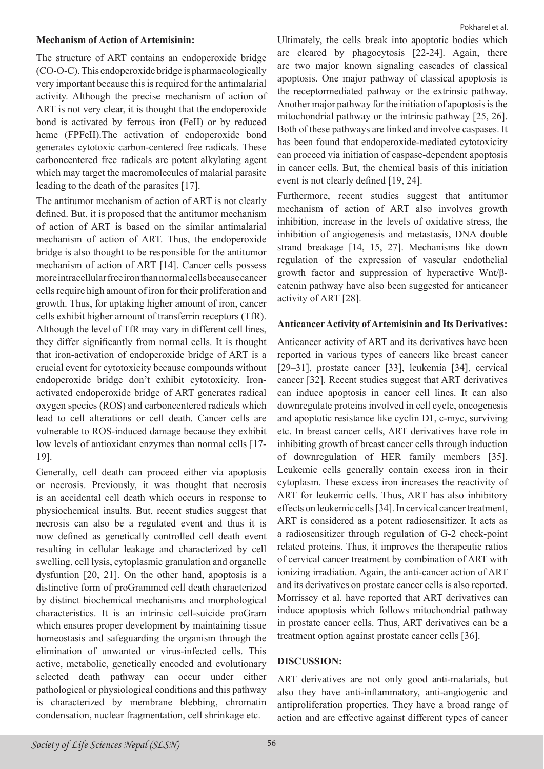### **Mechanism of Action of Artemisinin:**

The structure of ART contains an endoperoxide bridge (CO-O-C). This endoperoxide bridge is pharmacologically very important because this is required for the antimalarial activity. Although the precise mechanism of action of ART is not very clear, it is thought that the endoperoxide bond is activated by ferrous iron (FeII) or by reduced heme (FPFeII).The activation of endoperoxide bond generates cytotoxic carbon-centered free radicals. These carboncentered free radicals are potent alkylating agent which may target the macromolecules of malarial parasite leading to the death of the parasites [17].

The antitumor mechanism of action of ART is not clearly defined. But, it is proposed that the antitumor mechanism of action of ART is based on the similar antimalarial mechanism of action of ART. Thus, the endoperoxide bridge is also thought to be responsible for the antitumor mechanism of action of ART [14]. Cancer cells possess more intracellular free iron than normal cells because cancer cells require high amount of iron for their proliferation and growth. Thus, for uptaking higher amount of iron, cancer cells exhibit higher amount of transferrin receptors (TfR). Although the level of TfR may vary in different cell lines, they differ significantly from normal cells. It is thought that iron-activation of endoperoxide bridge of ART is a crucial event for cytotoxicity because compounds without endoperoxide bridge don't exhibit cytotoxicity. Ironactivated endoperoxide bridge of ART generates radical oxygen species (ROS) and carboncentered radicals which lead to cell alterations or cell death. Cancer cells are vulnerable to ROS-induced damage because they exhibit low levels of antioxidant enzymes than normal cells [17- 19].

Generally, cell death can proceed either via apoptosis or necrosis. Previously, it was thought that necrosis is an accidental cell death which occurs in response to physiochemical insults. But, recent studies suggest that necrosis can also be a regulated event and thus it is now defined as genetically controlled cell death event resulting in cellular leakage and characterized by cell swelling, cell lysis, cytoplasmic granulation and organelle dysfuntion [20, 21]. On the other hand, apoptosis is a distinctive form of proGrammed cell death characterized by distinct biochemical mechanisms and morphological characteristics. It is an intrinsic cell-suicide proGram which ensures proper development by maintaining tissue homeostasis and safeguarding the organism through the elimination of unwanted or virus-infected cells. This active, metabolic, genetically encoded and evolutionary selected death pathway can occur under either pathological or physiological conditions and this pathway is characterized by membrane blebbing, chromatin condensation, nuclear fragmentation, cell shrinkage etc.

Ultimately, the cells break into apoptotic bodies which are cleared by phagocytosis [22-24]. Again, there are two major known signaling cascades of classical apoptosis. One major pathway of classical apoptosis is the receptormediated pathway or the extrinsic pathway. Another major pathway for the initiation of apoptosis is the mitochondrial pathway or the intrinsic pathway [25, 26]. Both of these pathways are linked and involve caspases. It has been found that endoperoxide-mediated cytotoxicity can proceed via initiation of caspase-dependent apoptosis in cancer cells. But, the chemical basis of this initiation event is not clearly defined [19, 24].

Furthermore, recent studies suggest that antitumor mechanism of action of ART also involves growth inhibition, increase in the levels of oxidative stress, the inhibition of angiogenesis and metastasis, DNA double strand breakage [14, 15, 27]. Mechanisms like down regulation of the expression of vascular endothelial growth factor and suppression of hyperactive Wnt/βcatenin pathway have also been suggested for anticancer activity of ART [28].

## **Anticancer Activity of Artemisinin and Its Derivatives:**

Anticancer activity of ART and its derivatives have been reported in various types of cancers like breast cancer [29–31], prostate cancer [33], leukemia [34], cervical cancer [32]. Recent studies suggest that ART derivatives can induce apoptosis in cancer cell lines. It can also downregulate proteins involved in cell cycle, oncogenesis and apoptotic resistance like cyclin D1, c-myc, surviving etc. In breast cancer cells, ART derivatives have role in inhibiting growth of breast cancer cells through induction of downregulation of HER family members [35]. Leukemic cells generally contain excess iron in their cytoplasm. These excess iron increases the reactivity of ART for leukemic cells. Thus, ART has also inhibitory effects on leukemic cells [34]. In cervical cancer treatment, ART is considered as a potent radiosensitizer. It acts as a radiosensitizer through regulation of G-2 check-point related proteins. Thus, it improves the therapeutic ratios of cervical cancer treatment by combination of ART with ionizing irradiation. Again, the anti-cancer action of ART and its derivatives on prostate cancer cells is also reported. Morrissey et al. have reported that ART derivatives can induce apoptosis which follows mitochondrial pathway in prostate cancer cells. Thus, ART derivatives can be a treatment option against prostate cancer cells [36].

#### **DISCUSSION:**

ART derivatives are not only good anti-malarials, but also they have anti-inflammatory, anti-angiogenic and antiproliferation properties. They have a broad range of action and are effective against different types of cancer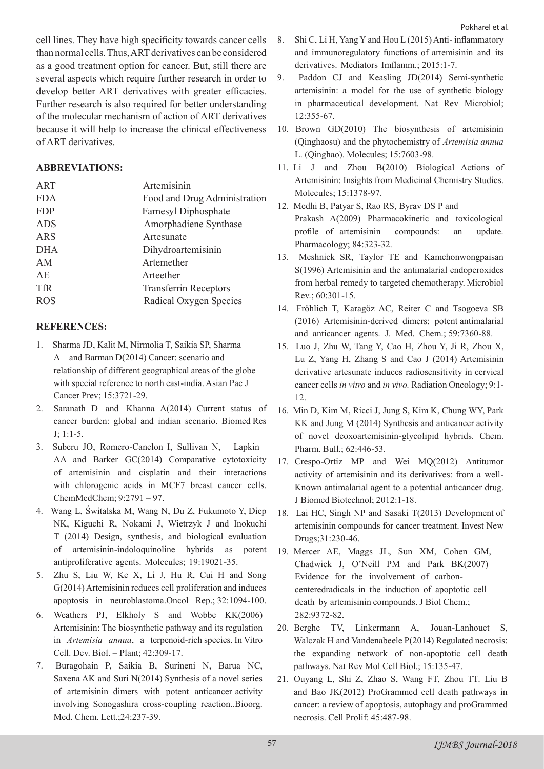cell lines. They have high specificity towards cancer cells than normal cells. Thus, ART derivatives can be considered as a good treatment option for cancer. But, still there are several aspects which require further research in order to develop better ART derivatives with greater efficacies. Further research is also required for better understanding of the molecular mechanism of action of ART derivatives because it will help to increase the clinical effectiveness of ART derivatives.

# **ABBREVIATIONS:**

| ART        | Artemisinin                  |  |
|------------|------------------------------|--|
| <b>FDA</b> | Food and Drug Administration |  |
| <b>FDP</b> | Farnesyl Diphosphate         |  |
| <b>ADS</b> | Amorphadiene Synthase        |  |
| ARS        | Artesunate                   |  |
| <b>DHA</b> | Dihydroartemisinin           |  |
| AM         | Artemether                   |  |
| AE.        | Arteether                    |  |
| <b>TfR</b> | <b>Transferrin Receptors</b> |  |
| <b>ROS</b> | Radical Oxygen Species       |  |
|            |                              |  |

## **REFERENCES:**

- 1. Sharma JD, Kalit M, Nirmolia T, Saikia SP, Sharma A and Barman D(2014) Cancer: scenario and relationship of different geographical areas of the globe with special reference to north east-india. Asian Pac J Cancer Prev; 15:3721-29.
- 2. Saranath D and Khanna A(2014) Current status of cancer burden: global and indian scenario. Biomed Res J; 1:1-5.
- 3. Suberu JO, Romero-Canelon I, Sullivan N, Lapkin AA and Barker GC(2014) Comparative cytotoxicity of artemisinin and cisplatin and their interactions with chlorogenic acids in MCF7 breast cancer cells. ChemMedChem; 9:2791 – 97.
- 4. Wang L, Świtalska M, Wang N, Du Z, Fukumoto Y, Diep NK, Kiguchi R, Nokami J, Wietrzyk J and Inokuchi T (2014) Design, synthesis, and biological evaluation of artemisinin-indoloquinoline hybrids as potent antiproliferative agents. Molecules; 19:19021-35.
- 5. Zhu S, Liu W, Ke X, Li J, Hu R, Cui H and Song G(2014) Artemisinin reduces cell proliferation and induces apoptosis in neuroblastoma.Oncol Rep.; 32:1094-100.
- 6. Weathers PJ, Elkholy S and Wobbe KK(2006) Artemisinin: The biosynthetic pathway and its regulation in *Artemisia annua*, a terpenoid-rich species. In Vitro Cell. Dev. Biol. – Plant; 42:309-17.
- 7. Buragohain P, Saikia B, Surineni N, Barua NC, Saxena AK and Suri N(2014) Synthesis of a novel series of artemisinin dimers with potent anticancer activity involving Sonogashira cross-coupling reaction..Bioorg. Med. Chem. Lett.;24:237-39.
- 8. Shi C, Li H, Yang Y and Hou L (2015) Anti- inflammatory and immunoregulatory functions of artemisinin and its derivatives. Mediators Imflamm.; 2015:1-7.
- 9. Paddon CJ and Keasling JD(2014) Semi-synthetic artemisinin: a model for the use of synthetic biology in pharmaceutical development. Nat Rev Microbiol; 12:355-67.
- 10. Brown GD(2010) The biosynthesis of artemisinin (Qinghaosu) and the phytochemistry of *Artemisia annua*  L. (Qinghao). Molecules; 15:7603-98.
- 11. Li J and Zhou B(2010) Biological Actions of Artemisinin: Insights from Medicinal Chemistry Studies. Molecules; 15:1378-97.
- 12. Medhi B, Patyar S, Rao RS, Byrav DS P and Prakash A(2009) Pharmacokinetic and toxicological profile of artemisinin compounds: an update. Pharmacology; 84:323-32.
- 13. Meshnick SR, Taylor TE and Kamchonwongpaisan S(1996) Artemisinin and the antimalarial endoperoxides from herbal remedy to targeted chemotherapy. Microbiol Rev.; 60:301-15.
- 14. Fröhlich T, Karagöz AC, Reiter C and Tsogoeva SB (2016) Artemisinin-derived dimers: potent antimalarial and anticancer agents. J. Med. Chem.; 59:7360-88.
- 15. Luo J, Zhu W, Tang Y, Cao H, Zhou Y, Ji R, Zhou X, Lu Z, Yang H, Zhang S and Cao J (2014) Artemisinin derivative artesunate induces radiosensitivity in cervical cancer cells *in vitro* and *in vivo.* Radiation Oncology; 9:1- 12.
- 16. Min D, Kim M, Ricci J, Jung S, Kim K, Chung WY, Park KK and Jung M (2014) Synthesis and anticancer activity of novel deoxoartemisinin-glycolipid hybrids. Chem. Pharm. Bull.; 62:446-53.
- 17. Crespo-Ortiz MP and Wei MQ(2012) Antitumor activity of artemisinin and its derivatives: from a well-Known antimalarial agent to a potential anticancer drug. J Biomed Biotechnol; 2012:1-18.
- 18. Lai HC, Singh NP and Sasaki T(2013) Development of artemisinin compounds for cancer treatment. Invest New Drugs;31:230-46.
- 19. Mercer AE, Maggs JL, Sun XM, Cohen GM, Chadwick J, O'Neill PM and Park BK(2007) Evidence for the involvement of carboncenteredradicals in the induction of apoptotic cell death by artemisinin compounds. J Biol Chem.; 282:9372-82.
- 20. Berghe TV, Linkermann A, Jouan-Lanhouet S, Walczak H and Vandenabeele P(2014) Regulated necrosis: the expanding network of non-apoptotic cell death pathways. Nat Rev Mol Cell Biol.; 15:135-47.
- 21. Ouyang L, Shi Z, Zhao S, Wang FT, Zhou TT. Liu B and Bao JK(2012) ProGrammed cell death pathways in cancer: a review of apoptosis, autophagy and proGrammed necrosis. Cell Prolif: 45:487-98.